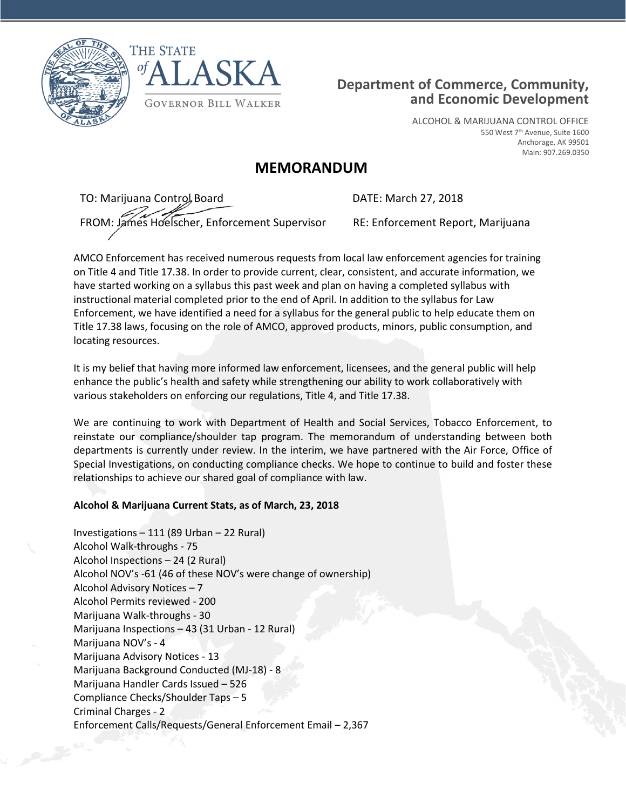



# **Department of Commerce, Community, and Economic Development**

ALCOHOL & MARIJUANA CONTROL OFFICE 550 West 7th Avenue, Suite 1600 Anchorage, AK 99501 Main: 907.269.0350

# **MEMORANDUM**

TO: Marijuana Control Board DATE: March 27, 2018 FROM: James Hoelscher, Enforcement Supervisor RE: Enforcement Report, Marijuana

AMCO Enforcement has received numerous requests from local law enforcement agencies for training on Title 4 and Title 17.38. In order to provide current, clear, consistent, and accurate information, we have started working on a syllabus this past week and plan on having a completed syllabus with instructional material completed prior to the end of April. In addition to the syllabus for Law Enforcement, we have identified a need for a syllabus for the general public to help educate them on Title 17.38 laws, focusing on the role of AMCO, approved products, minors, public consumption, and locating resources.

It is my belief that having more informed law enforcement, licensees, and the general public will help enhance the public's health and safety while strengthening our ability to work collaboratively with various stakeholders on enforcing our regulations, Title 4, and Title 17.38.

We are continuing to work with Department of Health and Social Services, Tobacco Enforcement, to reinstate our compliance/shoulder tap program. The memorandum of understanding between both departments is currently under review. In the interim, we have partnered with the Air Force, Office of Special Investigations, on conducting compliance checks. We hope to continue to build and foster these relationships to achieve our shared goal of compliance with law.

## **Alcohol & Marijuana Current Stats, as of March, 23, 2018**

Investigations – 111 (89 Urban – 22 Rural) Alcohol Walk-throughs - 75 Alcohol Inspections – 24 (2 Rural) Alcohol NOV's -61 (46 of these NOV's were change of ownership) Alcohol Advisory Notices – 7 Alcohol Permits reviewed - 200 Marijuana Walk-throughs - 30 Marijuana Inspections – 43 (31 Urban - 12 Rural) Marijuana NOV's - 4 Marijuana Advisory Notices - 13 Marijuana Background Conducted (MJ-18) - 8 Marijuana Handler Cards Issued – 526 Compliance Checks/Shoulder Taps – 5 Criminal Charges - 2 Enforcement Calls/Requests/General Enforcement Email – 2,367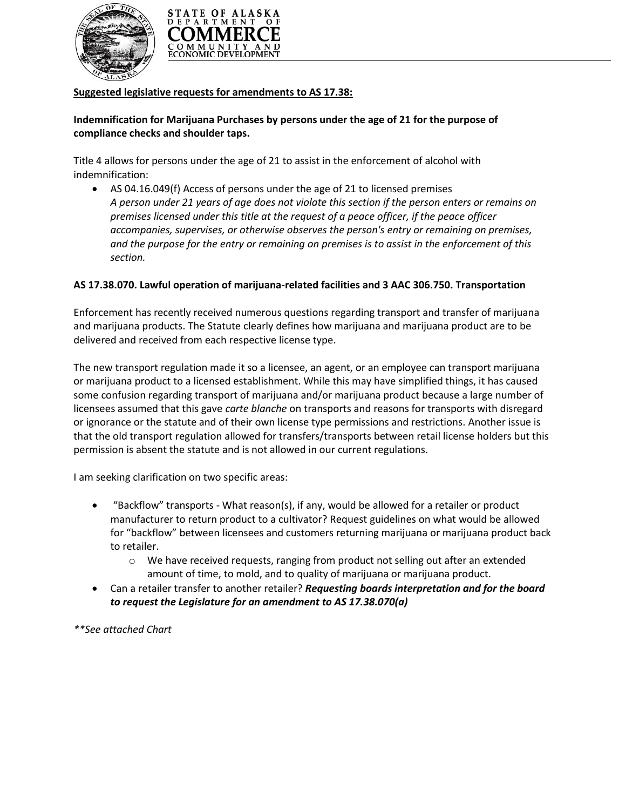



### **Suggested legislative requests for amendments to AS 17.38:**

## **Indemnification for Marijuana Purchases by persons under the age of 21 for the purpose of compliance checks and shoulder taps.**

Title 4 allows for persons under the age of 21 to assist in the enforcement of alcohol with indemnification:

 AS 04.16.049(f) Access of persons under the age of 21 to licensed premises *A person under 21 years of age does not violate this section if the person enters or remains on premises licensed under this title at the request of a peace officer, if the peace officer accompanies, supervises, or otherwise observes the person's entry or remaining on premises, and the purpose for the entry or remaining on premises is to assist in the enforcement of this section.*

## **AS 17.38.070. Lawful operation of marijuana-related facilities and 3 AAC 306.750. Transportation**

Enforcement has recently received numerous questions regarding transport and transfer of marijuana and marijuana products. The Statute clearly defines how marijuana and marijuana product are to be delivered and received from each respective license type.

The new transport regulation made it so a licensee, an agent, or an employee can transport marijuana or marijuana product to a licensed establishment. While this may have simplified things, it has caused some confusion regarding transport of marijuana and/or marijuana product because a large number of licensees assumed that this gave *carte blanche* on transports and reasons for transports with disregard or ignorance or the statute and of their own license type permissions and restrictions. Another issue is that the old transport regulation allowed for transfers/transports between retail license holders but this permission is absent the statute and is not allowed in our current regulations.

I am seeking clarification on two specific areas:

- "Backflow" transports What reason(s), if any, would be allowed for a retailer or product manufacturer to return product to a cultivator? Request guidelines on what would be allowed for "backflow" between licensees and customers returning marijuana or marijuana product back to retailer.
	- $\circ$  We have received requests, ranging from product not selling out after an extended amount of time, to mold, and to quality of marijuana or marijuana product.
- Can a retailer transfer to another retailer? *Requesting boards interpretation and for the board to request the Legislature for an amendment to AS 17.38.070(a)*

*\*\*See attached Chart*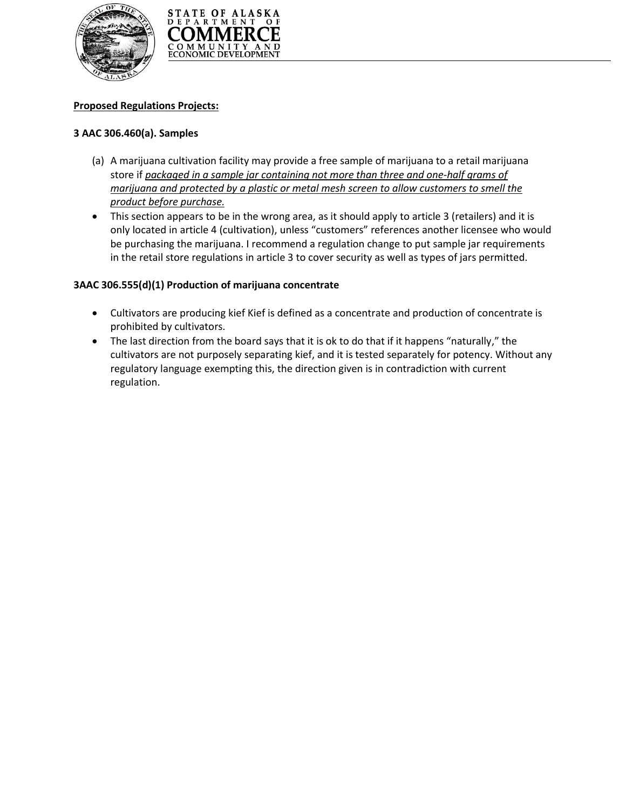



### **Proposed Regulations Projects:**

#### **3 AAC 306.460(a). Samples**

- (a) A marijuana cultivation facility may provide a free sample of marijuana to a retail marijuana store if *packaged in a sample jar containing not more than three and one-half grams of marijuana and protected by a plastic or metal mesh screen to allow customers to smell the product before purchase.*
- This section appears to be in the wrong area, as it should apply to article 3 (retailers) and it is only located in article 4 (cultivation), unless "customers" references another licensee who would be purchasing the marijuana. I recommend a regulation change to put sample jar requirements in the retail store regulations in article 3 to cover security as well as types of jars permitted.

#### **3AAC 306.555(d)(1) Production of marijuana concentrate**

- Cultivators are producing kief Kief is defined as a concentrate and production of concentrate is prohibited by cultivators.
- The last direction from the board says that it is ok to do that if it happens "naturally," the cultivators are not purposely separating kief, and it is tested separately for potency. Without any regulatory language exempting this, the direction given is in contradiction with current regulation.